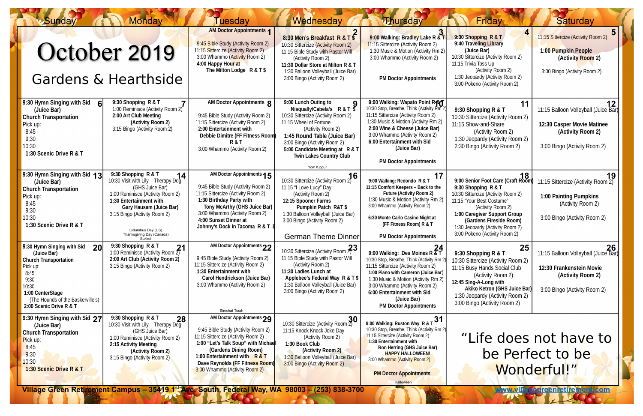| <b>Sunday</b>                                                                                                                                                                                            | <b>Monday</b>                                                                                                                                                                                                                                                                    | uesdav                                                                                                                                                                                                                                                                                                                                                                      | Wednesday                                                                                                                                                                                                                                                                                  | <b><i>Mursday</i></b>                                                                                                                                                                                                                                                                                                              | Friday                                                                                                                                                                                                                                                                                 | <b>Saturday</b>                                                                                                                |
|----------------------------------------------------------------------------------------------------------------------------------------------------------------------------------------------------------|----------------------------------------------------------------------------------------------------------------------------------------------------------------------------------------------------------------------------------------------------------------------------------|-----------------------------------------------------------------------------------------------------------------------------------------------------------------------------------------------------------------------------------------------------------------------------------------------------------------------------------------------------------------------------|--------------------------------------------------------------------------------------------------------------------------------------------------------------------------------------------------------------------------------------------------------------------------------------------|------------------------------------------------------------------------------------------------------------------------------------------------------------------------------------------------------------------------------------------------------------------------------------------------------------------------------------|----------------------------------------------------------------------------------------------------------------------------------------------------------------------------------------------------------------------------------------------------------------------------------------|--------------------------------------------------------------------------------------------------------------------------------|
| October 2019<br>Gardens & Hearthside                                                                                                                                                                     |                                                                                                                                                                                                                                                                                  | <b>AM Doctor Appointments 1</b><br>9:45 Bible Study (Activity Room 2)<br>11:15 Sittercize (Activity Room 2)<br>3:00 Whammo (Activity Room 2)<br>4:00 Happy Hour at<br>The Milton Lodge R & T \$                                                                                                                                                                             | 8:30 Men's Breakfast R & T \$<br>10:30 Sittercize (Activity Room 2)<br>11:15 Bible Study with Pastor Will<br>(Activity Room 2)<br>11:30 Dollar Store at Milton R & T<br>1:30 Balloon Volleyball (Juice Bar)<br>3:00 Bingo (Activity Room 2)                                                | 9:00 Walking: Bradley Lake R & T<br>11:15 Sittercize (Activity Room 2)<br>1:30 Music & Motion (Activity Rm 2)<br>3:00 Whammo (Activity Room 2)<br><b>PM Doctor Appointments</b>                                                                                                                                                    | 9:30 Shopping R & T<br>9:40 Traveling Library<br>(Juice Bar)<br>10:30 Sittercize (Activity Room 2)<br>11:15 Trivia Toss Up<br>(Activity Room 2)<br>1:30 Jeopardy (Activity Room 2)<br>3:00 Pokeno (Activity Room 2)                                                                    | 11:15 Sittercize (Activity Room 2)<br>1:00 Pumpkin People<br>(Activity Room 2)<br>3:00 Bingo (Activity Room 2)                 |
| 9:30 Hymn Singing with Sid<br>(Juice Bar)<br><b>Church Transportation</b><br>Pick up:<br>8:45<br>9:30<br>10:30<br>1:30 Scenic Drive R & T                                                                | 9:30 Shopping R & T<br>1:00 Reminisce (Activity Room 2)<br>2:00 Art Club Meeting<br>(Activity Room 2)<br>3:15 Bingo (Activity Room 2)                                                                                                                                            | AM Doctor Appointments 8<br>9:45 Bible Study (Activity Room 2)<br>11:15 Sittercize (Activity Room 2)<br>2:00 Entertainment with<br>Debbie Dimitre (FF Fitness Room)<br><b>R&amp;T</b><br>3:00 Whammo (Activity Room 2)                                                                                                                                                      | 9:00 Lunch Outing to<br>Nisqually/Cabela's $R & T$<br>10:30 Sittercize (Activity Room 2)<br>11:15 Wheel of Fortune<br>(Activity Room 2)<br>1:45 Round Table (Juice Bar)<br>3:00 Bingo (Activity Room 2)<br>5:00 Candidate Meeting at R & T<br><b>Twin Lakes Country Club</b><br>Yom Kippur | 9:00 Walking: Wapato Point RAY<br>10:30 Stop, Breathe, Think (Activity Rm 2)<br>11:15 Sittercize (Activity Room 2)<br>1:30 Music & Motion (Activity Rm 2)<br>2:00 Wine & Cheese (Juice Bar)<br>3:00 Whammo (Activity Room 2)<br>6:00 Entertainment with Sid<br>(Juice Bar)<br><b>PM Doctor Appointments</b>                        | 11<br>9:30 Shopping R & T<br>10:30 Sittercize (Activity Room 2)<br>11:15 Show-and-Share<br>(Activity Room 2)<br>1:30 Jeopardy (Activity Room 2)<br>2:30 Bingo (Activity Room 2)                                                                                                        | 12<br>11:15 Balloon Volleyball (Juice Bar)<br>12:30 Casper Movie Matinee<br>(Activity Room 2)<br>3:00 Bingo (Activity Room 2)  |
| 9:30 Hymn Singing with Sid 13<br>(Juice Bar)<br><b>Church Transportation</b><br>Pick up:<br>8:45<br>9:30<br>10:30<br>1:30 Scenic Drive R & T                                                             | 9:30 Shopping R & T<br>14<br>10:30 Visit with Lily - Therapy Dog<br>(GHS Juice Bar)<br>1:00 Reminisce (Activity Room 2)<br>1:30 Entertainment with<br><b>Gary Hausam (Juice Bar)</b><br>3:15 Bingo (Activity Room 2)<br>Columbus Day (US)<br>Thanksgiving Day (Canada)<br>Sukkot | AM Doctor Appointments 15<br>9:45 Bible Study (Activity Room 2)<br>11:15 Sittercize (Activity Room 2)<br>1:30 Birthday Party with<br>Tony McArthy (GHS Juice Bar)<br>3:00 Whammo (Activity Room 2)<br>4:00 Sunset Dinner at<br>Johnny's Dock in Tacoma R & T \$                                                                                                             | 16<br>10:30 Sittercize (Activity Room 2)<br>11:15 "I Love Lucy" Day<br>(Activity Room 2)<br>12:15 Spooner Farms<br><b>Pumpkin Patch R&amp;T \$</b><br>1:30 Balloon Volleyball (Juice Bar)<br>3:00 Bingo (Activity Room 2)<br><b>German Theme Dinner</b>                                    | 9:00 Walking: Redondo R & T<br>11:15 Comfort Keepers - Back to the<br><b>Future (Activity Room 2)</b><br>1:30 Music & Motion (Activity Rm 2)<br>3:00 Whammo (Activity Room 2)<br>6:30 Monte Carlo Casino Night at<br>(FF Fitness Room) R & T<br><b>PM Doctor Appointments</b>                                                      | 18<br>9:00 Senior Foot Care (Craft Room)<br>9:30 Shopping R & T<br>10:30 Sittercize (Activity Room 2)<br>11:15 "Your Best Costume"<br>(Activity Room 2)<br>1:00 Caregiver Support Group<br>(Gardens Fireside Room)<br>1:30 Jeopardy (Activity Room 2)<br>3:00 Pokeno (Activity Room 2) | 19<br>11:15 Sittercize (Activity Room 2)<br><b>1:00 Painting Pumpkins</b><br>(Activity Room 2)<br>3:00 Bingo (Activity Room 2) |
| 9:30 Hymn Singing with Sid<br>20<br>(Juice Bar)<br><b>Church Transportation</b><br>Pick up:<br>8:45<br>9:30<br>10:30<br>1:00 CenterStage<br>(The Hounds of the Baskerville's)<br>2:00 Scenic Drive R & T | 9:30 Shopping R & T<br>9.50 Snopping $R & T$<br>1:00 Reminisce (Activity Room 2)<br>2:00 Art Club (Activity Room 2)<br>3:15 Bingo (Activity Room 2)                                                                                                                              | AM Doctor Appointments 22<br>9:45 Bible Study (Activity Room 2)<br>11:15 Sittercize (Activity Room 2)<br>1:30 Entertainment with<br><b>Carol Hendrickson (Juice Bar)</b><br>3:00 Whammo (Activity Room 2)<br>Simchat Torah                                                                                                                                                  | 10:30 Sittercize (Activity Room $2^3$ )<br>11:15 Bible Study with Pastor Will<br>(Activity Room 2)<br>11:30 Ladies Lunch at<br>Applebee's Federal Way R & T \$<br>1:30 Balloon Volleyball (Juice Bar)<br>3:00 Bingo (Activity Room 2)                                                      | 24<br>9:00 Walking: Des Moines R $\overline{8}$ T<br>10:30 Stop, Breathe, Think (Activity Rm 2<br>11:15 Sittercize (Activity Room 2)<br>1:00 Piano with Cameron (Juice Bar)<br>1:30 Music & Motion (Activity Rm 2)<br>3:00 Whammo (Activity Room 2)<br>6:00 Entertainment with Sid<br>(Juice Bar)<br><b>PM Doctor Appointments</b> | 25<br>9:30 Shopping R & T<br>10:30 Sittercize (Activity Room 2)<br>11:15 Busy Hands Social Club<br>(Activity Room 2)<br>12:45 Sing-A-Long with<br>Akiko Ketron (GHS Juice Bar)<br>1:30 Jeopardy (Activity Room 2)<br>3:00 Bingo (Activity Room 2)                                      | 26<br>11:15 Balloon Volleyball (Juice Bar)<br>12:30 Frankenstein Movie<br>(Activity Room 2)<br>3:00 Bingo (Activity Room 2)    |
| 9:30 Hymn Singing with Sid 27<br>(Juice Bar)<br><b>Church Transportation</b><br>Pick up:<br>8:45<br>9:30<br>10:30<br>1:30 Scenic Drive R & T                                                             | 5.50 Supplying R & T<br>10:30 Visit with Lily - Therapy Dog<br>(GHS Juice Bar)<br>1:00 Reminisce (Activity Room 2)<br>2:15 Activity Meeting<br>(Activity Room 2)<br>3:15 Bingo (Activity Room 2)                                                                                 | AM Doctor Appointments 29<br>9:45 Bible Study (Activity Room 2)<br>11:15 Sittercize (Activity Room 2)<br>1:00 "Let's Talk Soup" with Michae<br>(Gardens Dining Room)<br>1:00 Entertainment with R & T<br>Dave Reynolds (FF Fitness Room)<br>3:00 Whammo (Activity Room 2)<br>Village Green Retirement Campus - 35419 1st Ave. South, Federal Way, WA 98003 - (253) 838-3700 | 10:30 Sittercize (Activity Room 2)<br>11:15 Knock Knock Joke Day<br>(Activity Room 2)<br>1:30 Book Club<br>(Activity Room 2)<br>1:30 Balloon Volleyball (Juice Bar)<br>3:00 Bingo (Activity Room 2)                                                                                        | .31<br>9:00 Walking: Ruston Way R & T<br>10:30 Stop, Breathe, Think (Activity Rm 2)<br>11:15 Sittercize (Activity Room 2)<br>1:30 Entertainment with<br>Ron Herring (GHS Juice Bar)<br><b>HAPPY HALLOWEEN!</b><br>3:00 Whammo (Activity Room 2)<br><b>PM Doctor Appointments</b><br><b>Halloween</b>                               | "Life does not have to<br>be Perfect to be<br>Wonderful!"<br>www.villagegreenretireinen<br><b>iticom</b>                                                                                                                                                                               |                                                                                                                                |